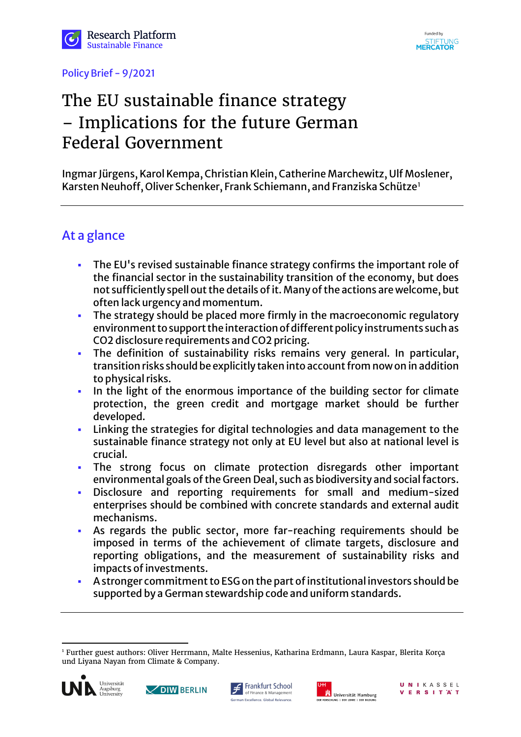





# The EU sustainable finance strategy – Implications for the future German Federal Government

Ingmar Jürgens, Karol Kempa, Christian Klein, Catherine Marchewitz, Ulf Moslener, Karsten Neuhoff, Oliver Schenker, Frank Schiemann, and Franziska Schütze[1](#page-0-0)

## At a glance

- The EU's revised sustainable finance strategy confirms the important role of the financial sector in the sustainability transition of the economy, but does not sufficiently spell out the details of it. Many of the actions are welcome, but often lack urgency and momentum.
- The strategy should be placed more firmly in the macroeconomic regulatory environment to support the interaction of different policy instruments such as CO2 disclosure requirements and CO2 pricing.
- The definition of sustainability risks remains very general. In particular, transition risks should be explicitly taken into account from now on in addition to physical risks.
- In the light of the enormous importance of the building sector for climate protection, the green credit and mortgage market should be further developed.
- Linking the strategies for digital technologies and data management to the sustainable finance strategy not only at EU level but also at national level is crucial.
- The strong focus on climate protection disregards other important environmental goals of the Green Deal, such as biodiversity and social factors.
- Disclosure and reporting requirements for small and medium-sized enterprises should be combined with concrete standards and external audit mechanisms.
- As regards the public sector, more far-reaching requirements should be imposed in terms of the achievement of climate targets, disclosure and reporting obligations, and the measurement of sustainability risks and impacts of investments.
- A stronger commitment to ESG on the part of institutional investors should be supported by a German stewardship code and uniform standards.

<span id="page-0-0"></span>l <sup>1</sup> Further guest authors: Oliver Herrmann, Malte Hessenius, Katharina Erdmann, Laura Kaspar, Blerita Korça und Liyana Nayan from Climate & Company.









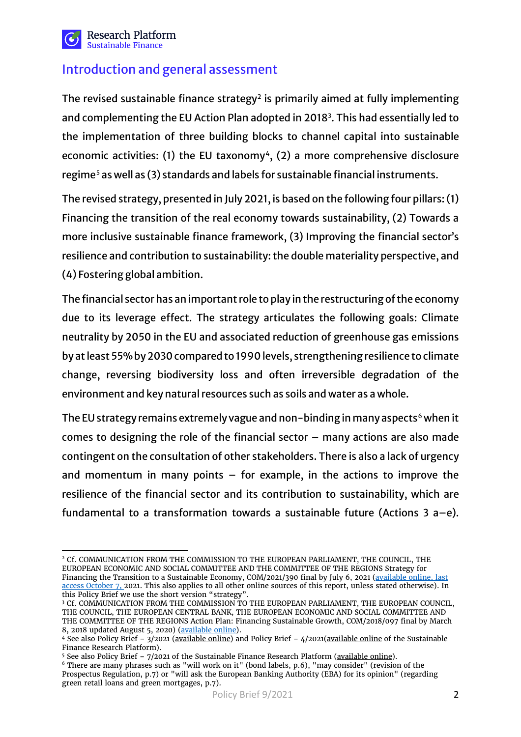

## Introduction and general assessment

The revised sustainable finance strategy<sup>[2](#page-1-0)</sup> is primarily aimed at fully implementing and complementing the EU Action Plan adopted in 2018<sup>[3](#page-1-1)</sup>. This had essentially led to the implementation of three building blocks to channel capital into sustainable economic activities: (1) the EU taxonomy<sup>4</sup>, (2) a more comprehensive disclosure regime<sup>[5](#page-1-3)</sup> as well as (3) standards and labels for sustainable financial instruments.

The revised strategy, presented in July 2021, is based on the following four pillars: (1) Financing the transition of the real economy towards sustainability, (2) Towards a more inclusive sustainable finance framework, (3) Improving the financial sector's resilience and contribution to sustainability: the double materiality perspective, and (4) Fostering global ambition.

The financial sector has an important role to play in the restructuring of the economy due to its leverage effect. The strategy articulates the following goals: Climate neutrality by 2050 in the EU and associated reduction of greenhouse gas emissions by at least 55% by 2030 compared to 1990 levels, strengthening resilience to climate change, reversing biodiversity loss and often irreversible degradation of the environment and key natural resources such as soils and water as a whole.

The EU strategy remains extremely vague and non-binding in many aspects<sup>[6](#page-1-4)</sup> when it comes to designing the role of the financial sector  $-$  many actions are also made contingent on the consultation of other stakeholders. There is also a lack of urgency and momentum in many points  $-$  for example, in the actions to improve the resilience of the financial sector and its contribution to sustainability, which are fundamental to a transformation towards a sustainable future (Actions 3 a–e).

<span id="page-1-0"></span> $\overline{a}$ <sup>2</sup> Cf. COMMUNICATION FROM THE COMMISSION TO THE EUROPEAN PARLIAMENT, THE COUNCIL, THE EUROPEAN ECONOMIC AND SOCIAL COMMITTEE AND THE COMMITTEE OF THE REGIONS Strategy for Financing the Transition to a Sustainable Economy, COM/2021/390 final by July 6, 2021 [\(available online,](https://eur-lex.europa.eu/legal-content/EN/TXT/?uri=CELEX:52021DC0390) last access October 7, 2021. This also applies to all other online sources of this report, unless stated otherwise). In this Policy Brief we use the short version "strategy".

<span id="page-1-1"></span><sup>&</sup>lt;sup>3</sup> Cf. COMMUNICATION FROM THE COMMISSION TO THE EUROPEAN PARLIAMENT, THE EUROPEAN COUNCIL, THE COUNCIL, THE EUROPEAN CENTRAL BANK, THE EUROPEAN ECONOMIC AND SOCIAL COMMITTEE AND THE COMMITTEE OF THE REGIONS Action Plan: Financing Sustainable Growth, COM/2018/097 final by March 8, 2018 updated August 5, 2020) [\(available online\)](https://eur-lex.europa.eu/legal-content/EN/TXT/?uri=CELEX:52018DC0097).

<span id="page-1-2"></span><sup>4</sup> See also Policy Brief – 3/2021 [\(available online\)](https://wpsf.de/publikationen/pb-3-2021-eu-taxonomie-1/) and Policy Brief – 4/2021[\(available online](https://wpsf.de/publikationen/pb-4-2021-eu-taxonomie-2/) of the Sustainable Finance Research Platform).

<sup>&</sup>lt;sup>5</sup> See also Policy Brief –  $7/2021$  of the Sustainable Finance Research Platform [\(available online\)](https://wpsf.de/publikationen/pb-7-2021-wesentlichkeit/).

<span id="page-1-4"></span><span id="page-1-3"></span><sup>6</sup> There are many phrases such as "will work on it" (bond labels, p.6), "may consider" (revision of the Prospectus Regulation, p.7) or "will ask the European Banking Authority (EBA) for its opinion" (regarding green retail loans and green mortgages, p.7).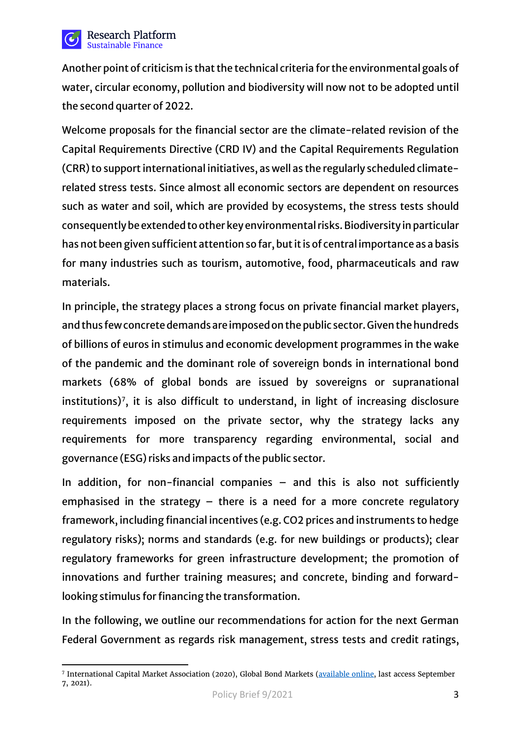

Another point of criticism is that the technical criteria for the environmental goals of water, circular economy, pollution and biodiversity will now not to be adopted until the second quarter of 2022.

Welcome proposals for the financial sector are the climate-related revision of the Capital Requirements Directive (CRD IV) and the Capital Requirements Regulation (CRR) to support international initiatives, as well as the regularly scheduled climaterelated stress tests. Since almost all economic sectors are dependent on resources such as water and soil, which are provided by ecosystems, the stress tests should consequently be extended to other key environmental risks. Biodiversity in particular has not been given sufficient attention so far, but it is of central importance as a basis for many industries such as tourism, automotive, food, pharmaceuticals and raw materials.

In principle, the strategy places a strong focus on private financial market players, and thus few concrete demands are imposedon the public sector. Given the hundreds of billions of euros in stimulus and economic development programmes in the wake of the pandemic and the dominant role of sovereign bonds in international bond markets (68% of global bonds are issued by sovereigns or supranational institutions)<sup>[7](#page-2-0)</sup>, it is also difficult to understand, in light of increasing disclosure requirements imposed on the private sector, why the strategy lacks any requirements for more transparency regarding environmental, social and governance (ESG) risks and impacts of the public sector.

In addition, for non-financial companies – and this is also not sufficiently emphasised in the strategy – there is a need for a more concrete regulatory framework, including financial incentives (e.g. CO2 prices and instruments to hedge regulatory risks); norms and standards (e.g. for new buildings or products); clear regulatory frameworks for green infrastructure development; the promotion of innovations and further training measures; and concrete, binding and forwardlooking stimulus for financing the transformation.

In the following, we outline our recommendations for action for the next German Federal Government as regards risk management, stress tests and credit ratings,

<span id="page-2-0"></span> $\overline{a}$ <sup>7</sup> International Capital Market Association (2020), Global Bond Markets [\(available online,](https://www.icmagroup.org/Regulatory-Policy-and-Market-Practice/Secondary-Markets/bond-market-size/) last access September 7, 2021).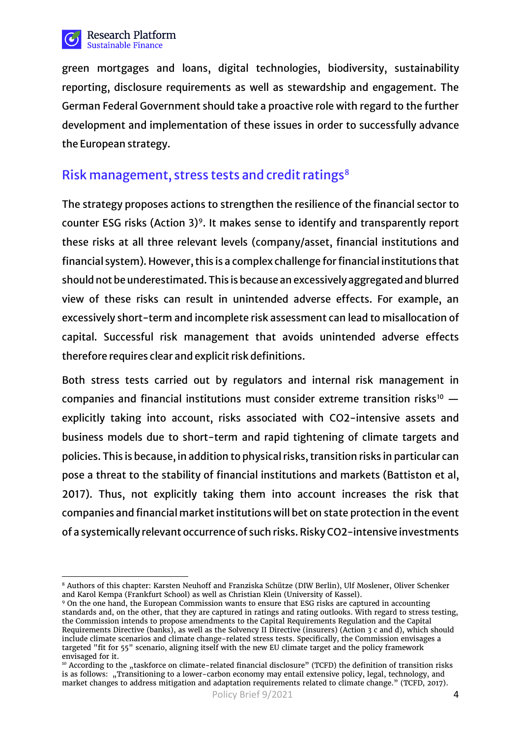

green mortgages and loans, digital technologies, biodiversity, sustainability reporting, disclosure requirements as well as stewardship and engagement. The German Federal Government should take a proactive role with regard to the further development and implementation of these issues in order to successfully advance the European strategy.

## Risk management, stress tests and credit ratings<sup>[8](#page-3-0)</sup>

The strategy proposes actions to strengthen the resilience of the financial sector to counter ESG risks (Action 3)<sup>9</sup>. It makes sense to identify and transparently report these risks at all three relevant levels (company/asset, financial institutions and financial system). However, this is a complex challenge for financial institutions that should not be underestimated. This is because an excessively aggregated and blurred view of these risks can result in unintended adverse effects. For example, an excessively short-term and incomplete risk assessment can lead to misallocation of capital. Successful risk management that avoids unintended adverse effects therefore requires clear and explicit risk definitions.

Both stress tests carried out by regulators and internal risk management in companies and financial institutions must consider extreme transition risks<sup>[10](#page-3-2)</sup>  $$ explicitly taking into account, risks associated with CO2-intensive assets and business models due to short-term and rapid tightening of climate targets and policies. This is because, in addition to physical risks, transition risks in particular can pose a threat to the stability of financial institutions and markets (Battiston et al, 2017). Thus, not explicitly taking them into account increases the risk that companies and financial market institutions will bet on state protection in the event of a systemically relevant occurrence of such risks. Risky CO2-intensive investments

<span id="page-3-0"></span> $\overline{a}$ <sup>8</sup> Authors of this chapter: Karsten Neuhoff and Franziska Schütze (DIW Berlin), Ulf Moslener, Oliver Schenker and Karol Kempa (Frankfurt School) as well as Christian Klein (University of Kassel).

<span id="page-3-1"></span><sup>9</sup> On the one hand, the European Commission wants to ensure that ESG risks are captured in accounting standards and, on the other, that they are captured in ratings and rating outlooks. With regard to stress testing, the Commission intends to propose amendments to the Capital Requirements Regulation and the Capital Requirements Directive (banks), as well as the Solvency II Directive (insurers) (Action 3 c and d), which should include climate scenarios and climate change-related stress tests. Specifically, the Commission envisages a targeted "fit for 55" scenario, aligning itself with the new EU climate target and the policy framework envisaged for it.

<span id="page-3-2"></span><sup>&</sup>lt;sup>10</sup> According to the "taskforce on climate-related financial disclosure" (TCFD) the definition of transition risks is as follows: "Transitioning to a lower-carbon economy may entail extensive policy, legal, technology, and market changes to address mitigation and adaptation requirements related to climate change." (TCFD, 2017).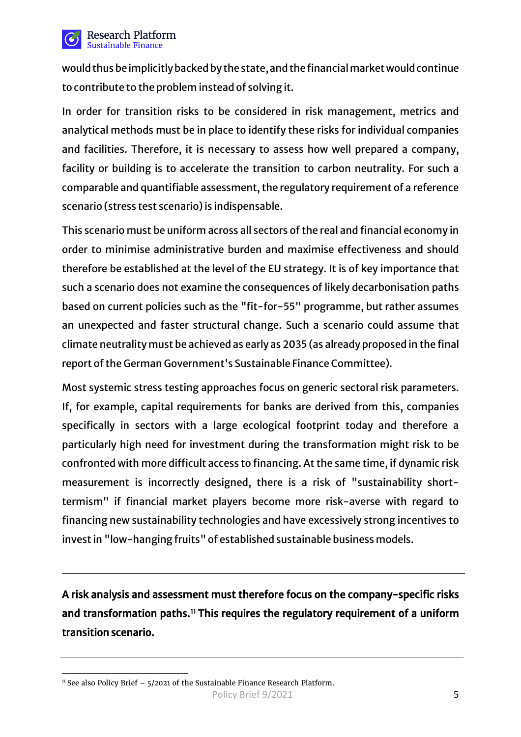

**Research Platform** Sustainable Finance

would thus be implicitly backed by the state, and the financial market would continue to contribute to the problem instead of solving it.

In order for transition risks to be considered in risk management, metrics and analytical methods must be in place to identify these risks for individual companies and facilities. Therefore, it is necessary to assess how well prepared a company, facility or building is to accelerate the transition to carbon neutrality. For such a comparable and quantifiable assessment, the regulatory requirement of a reference scenario (stress test scenario) is indispensable.

This scenario must be uniform across all sectors of the real and financial economy in order to minimise administrative burden and maximise effectiveness and should therefore be established at the level of the EU strategy. It is of key importance that such a scenario does not examine the consequences of likely decarbonisation paths based on current policies such as the "fit-for-55" programme, but rather assumes an unexpected and faster structural change. Such a scenario could assume that climate neutrality must be achieved as early as 2035 (as already proposed in the final report of the German Government's Sustainable Finance Committee).

Most systemic stress testing approaches focus on generic sectoral risk parameters. If, for example, capital requirements for banks are derived from this, companies specifically in sectors with a large ecological footprint today and therefore a particularly high need for investment during the transformation might risk to be confronted with more difficult access to financing. At the same time, if dynamic risk measurement is incorrectly designed, there is a risk of "sustainability shorttermism" if financial market players become more risk-averse with regard to financing new sustainability technologies and have excessively strong incentives to invest in "low-hanging fruits" of established sustainable business models.

A risk analysis and assessment must therefore focus on the company-specific risks and transformation paths.<sup>11</sup> This requires the regulatory requirement of a uniform transition scenario.

<span id="page-4-0"></span>l  $11$  See also Policy Brief -  $5/2021$  of the Sustainable Finance Research Platform.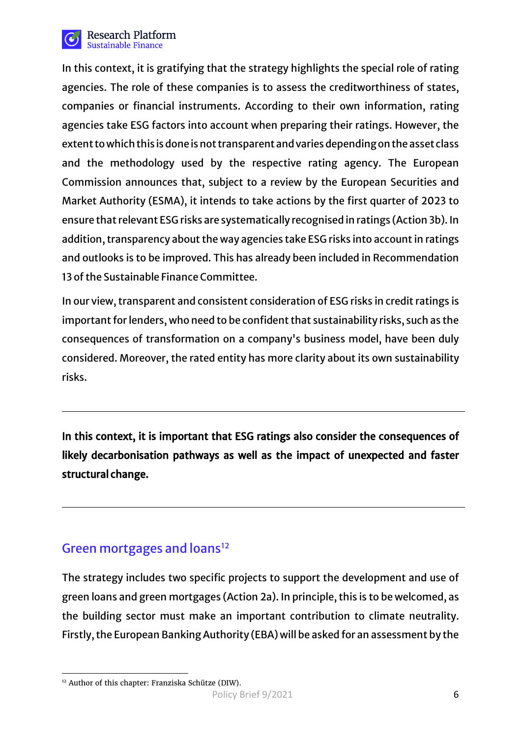

In this context, it is gratifying that the strategy highlights the special role of rating agencies. The role of these companies is to assess the creditworthiness of states, companies or financial instruments. According to their own information, rating agencies take ESG factors into account when preparing their ratings. However, the extent to which this is done is not transparent and varies depending on the asset class and the methodology used by the respective rating agency. The European Commission announces that, subject to a review by the European Securities and Market Authority (ESMA), it intends to take actions by the first quarter of 2023 to ensure that relevant ESG risks are systematically recognised in ratings (Action 3b). In addition, transparency about the way agencies take ESG risks into account in ratings and outlooks is to be improved. This has already been included in Recommendation 13 of the Sustainable Finance Committee.

In our view, transparent and consistent consideration of ESG risks in credit ratings is important for lenders, who need to be confident that sustainability risks, such as the consequences of transformation on a company's business model, have been duly considered. Moreover, the rated entity has more clarity about its own sustainability risks.

In this context, it is important that ESG ratings also consider the consequences of likely decarbonisation pathways as well as the impact of unexpected and faster structural change.

# Green mortgages and loans<sup>[12](#page-5-0)</sup>

The strategy includes two specific projects to support the development and use of green loans and green mortgages (Action 2a). In principle, this is to be welcomed, as the building sector must make an important contribution to climate neutrality. Firstly, the European Banking Authority (EBA) will be asked for an assessment by the

<span id="page-5-0"></span>l <sup>12</sup> Author of this chapter: Franziska Schütze (DIW).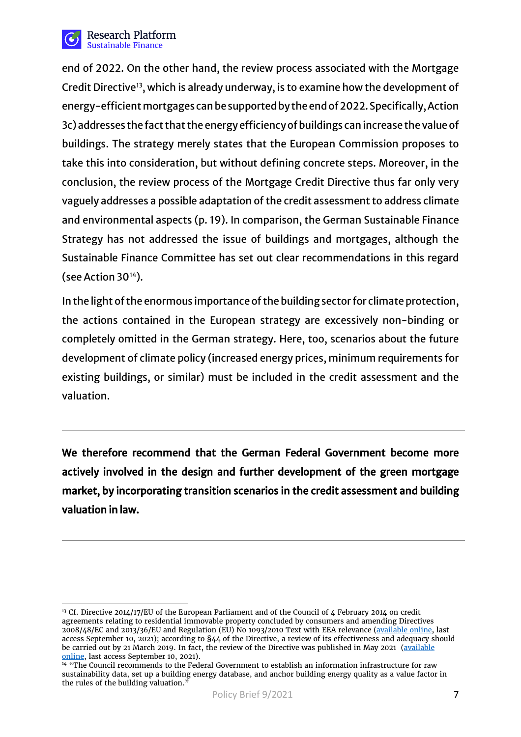

end of 2022. On the other hand, the review process associated with the Mortgage Credit Directive<sup>13</sup>, which is already underway, is to examine how the development of energy-efficient mortgages can be supported by the end of 2022. Specifically, Action 3c) addresses the fact that the energy efficiency of buildings can increase the value of buildings. The strategy merely states that the European Commission proposes to take this into consideration, but without defining concrete steps. Moreover, in the conclusion, the review process of the Mortgage Credit Directive thus far only very vaguely addresses a possible adaptation of the credit assessment to address climate and environmental aspects (p. 19). In comparison, the German Sustainable Finance Strategy has not addressed the issue of buildings and mortgages, although the Sustainable Finance Committee has set out clear recommendations in this regard (see Action 30[14\)](#page-6-1).

In the light of the enormous importance of the building sector for climate protection, the actions contained in the European strategy are excessively non-binding or completely omitted in the German strategy. Here, too, scenarios about the future development of climate policy (increased energy prices, minimum requirements for existing buildings, or similar) must be included in the credit assessment and the valuation.

We therefore recommend that the German Federal Government become more actively involved in the design and further development of the green mortgage market, by incorporating transition scenarios in the credit assessment and building valuation in law.

<span id="page-6-0"></span> $\overline{a}$ <sup>13</sup> Cf. Directive 2014/17/EU of the European Parliament and of the Council of 4 February 2014 on credit agreements relating to residential immovable property concluded by consumers and amending Directives 2008/48/EC and 2013/36/EU and Regulation (EU) No 1093/2010 Text with EEA relevance [\(available online,](https://eur-lex.europa.eu/legal-content/DE/TXT/PDF/?uri=CELEX:32014L0017) last access September 10, 2021); according to §44 of the Directive, a review of its effectiveness and adequacy should be carried out by 21 March 2019. In fact, the review of the Directive was published in May 2021 (<u>available</u> [online,](https://op.europa.eu/de/publication-detail/-/publication/ba9380c3-b23d-11eb-8aca-01aa75ed71a1) last access September 10, 2021).<br><sup>14</sup> "The Council recommends to the Federal Government to establish an information infrastructure for raw

<span id="page-6-1"></span>sustainability data, set up a building energy database, and anchor building energy quality as a value factor in the rules of the building valuation.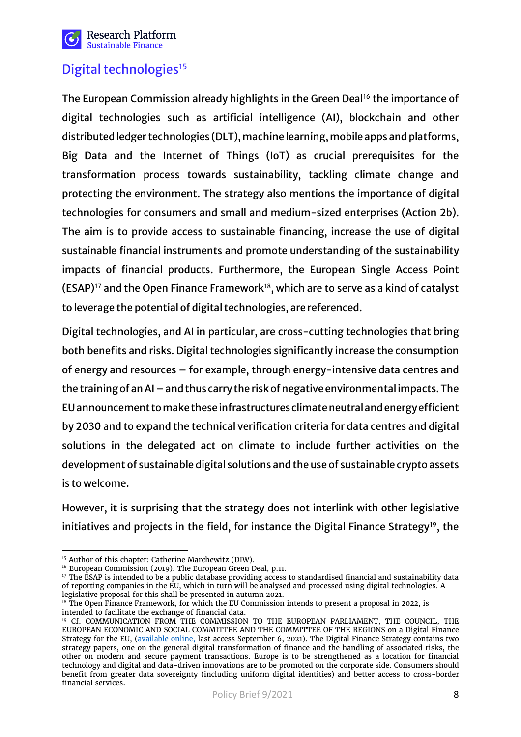

# Digital technologies<sup>[15](#page-7-0)</sup>

The European Commission already highlights in the Green Deal<sup>[16](#page-7-1)</sup> the importance of digital technologies such as artificial intelligence (AI), blockchain and other distributed ledger technologies (DLT), machine learning, mobile apps and platforms, Big Data and the Internet of Things (IoT) as crucial prerequisites for the transformation process towards sustainability, tackling climate change and protecting the environment. The strategy also mentions the importance of digital technologies for consumers and small and medium-sized enterprises (Action 2b). The aim is to provide access to sustainable financing, increase the use of digital sustainable financial instruments and promote understanding of the sustainability impacts of financial products. Furthermore, the European Single Access Point  $(ESAP)^{17}$  and the Open Finance Framework<sup>[18](#page-7-3)</sup>, which are to serve as a kind of catalyst to leverage the potential of digital technologies, are referenced.

Digital technologies, and AI in particular, are cross-cutting technologies that bring both benefits and risks. Digital technologies significantly increase the consumption of energy and resources – for example, through energy-intensive data centres and the training of an AI – and thus carry the risk of negative environmental impacts. The EU announcement to make these infrastructures climate neutral and energy efficient by 2030 and to expand the technical verification criteria for data centres and digital solutions in the delegated act on climate to include further activities on the development of sustainable digital solutions and the use of sustainable crypto assets is to welcome.

However, it is surprising that the strategy does not interlink with other legislative initiatives and projects in the field, for instance the Digital Finance Strategy<sup>19</sup>, the

 $\overline{a}$ <sup>15</sup> Author of this chapter: Catherine Marchewitz (DIW).

<span id="page-7-1"></span><span id="page-7-0"></span><sup>&</sup>lt;sup>16</sup> European Commission (2019). The European Green Deal, p.11.

<span id="page-7-2"></span><sup>&</sup>lt;sup>17</sup> The ESAP is intended to be a public database providing access to standardised financial and sustainability data of reporting companies in the EU, which in turn will be analysed and processed using digital technologies. A legislative proposal for this shall be presented in autumn 2021.

<span id="page-7-3"></span><sup>&</sup>lt;sup>18</sup> The Open Finance Framework, for which the EU Commission intends to present a proposal in 2022, is intended to facilitate the exchange of financial data.

<span id="page-7-4"></span><sup>19</sup> Cf. COMMUNICATION FROM THE COMMISSION TO THE EUROPEAN PARLIAMENT, THE COUNCIL, THE EUROPEAN ECONOMIC AND SOCIAL COMMITTEE AND THE COMMITTEE OF THE REGIONS on a Digital Finance Strategy for the EU, [\(available online,](https://eur-lex.europa.eu/legal-content/EN/TXT/?uri=CELEX:52020DC0591) last access September 6, 2021). The Digital Finance Strategy contains two strategy papers, one on the general digital transformation of finance and the handling of associated risks, the other on modern and secure payment transactions. Europe is to be strengthened as a location for financial technology and digital and data-driven innovations are to be promoted on the corporate side. Consumers should benefit from greater data sovereignty (including uniform digital identities) and better access to cross-border financial services.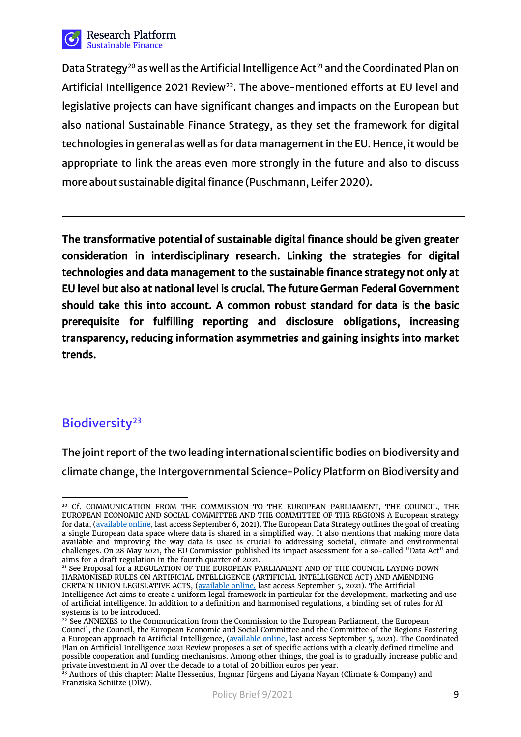

Data Strategy<sup>[20](#page-8-0)</sup> as well as the Artificial Intelligence Act<sup>[21](#page-8-1)</sup> and the Coordinated Plan on Artificial Intelligence 2021 Review<sup>[22](#page-8-2)</sup>. The above-mentioned efforts at EU level and legislative projects can have significant changes and impacts on the European but also national Sustainable Finance Strategy, as they set the framework for digital technologies in general as well as for data management in the EU. Hence, it would be appropriate to link the areas even more strongly in the future and also to discuss more about sustainable digital finance (Puschmann, Leifer 2020).

The transformative potential of sustainable digital finance should be given greater consideration in interdisciplinary research. Linking the strategies for digital technologies and data management to the sustainable finance strategy not only at EU level but also at national level is crucial. The future German Federal Government should take this into account. A common robust standard for data is the basic prerequisite for fulfilling reporting and disclosure obligations, increasing transparency, reducing information asymmetries and gaining insights into market trends.

# Biodiversity<sup>23</sup>

The joint report of the two leading international scientific bodies on biodiversity and climate change, the Intergovernmental Science-Policy Platform on Biodiversity and

<span id="page-8-1"></span><sup>21</sup> See Proposal for a REGULATION OF THE EUROPEAN PARLIAMENT AND OF THE COUNCIL LAYING DOWN HARMONISED RULES ON ARTIFICIAL INTELLIGENCE (ARTIFICIAL INTELLIGENCE ACT) AND AMENDING CERTAIN UNION LEGISLATIVE ACTS, [\(available online,](https://eur-lex.europa.eu/legal-content/EN/TXT/?uri=CELEX%3A52021PC0206) last access September 5, 2021). The Artificial Intelligence Act aims to create a uniform legal framework in particular for the development, marketing and use of artificial intelligence. In addition to a definition and harmonised regulations, a binding set of rules for AI systems is to be introduced.

<span id="page-8-0"></span> $\overline{a}$ <sup>20</sup> Cf. COMMUNICATION FROM THE COMMISSION TO THE EUROPEAN PARLIAMENT, THE COUNCIL, THE EUROPEAN ECONOMIC AND SOCIAL COMMITTEE AND THE COMMITTEE OF THE REGIONS A European strategy for data, [\(available online,](https://eur-lex.europa.eu/legal-content/EN/TXT/?uri=CELEX%3A52020DC0066) last access September 6, 2021). The European Data Strategy outlines the goal of creating a single European data space where data is shared in a simplified way. It also mentions that making more data available and improving the way data is used is crucial to addressing societal, climate and environmental challenges. On 28 May 2021, the EU Commission published its impact assessment for a so-called "Data Act" and aims for a draft regulation in the fourth quarter of 2021.

<span id="page-8-2"></span> $22$  See ANNEXES to the Communication from the Commission to the European Parliament, the European Council, the Council, the European Economic and Social Committee and the Committee of the Regions Fostering a European approach to Artificial Intelligence, [\(available online,](https://digital-strategy.ec.europa.eu/en/library/coordinated-plan-artificial-intelligence-2021-review) last access September 5, 2021). The Coordinated Plan on Artificial Intelligence 2021 Review proposes a set of specific actions with a clearly defined timeline and possible cooperation and funding mechanisms. Among other things, the goal is to gradually increase public and private investment in AI over the decade to a total of 20 billion euros per year.

<span id="page-8-3"></span> $^{23}$  Authors of this chapter: Malte Hessenius, Ingmar Jürgens and Liyana Nayan (Climate & Company) and Franziska Schütze (DIW).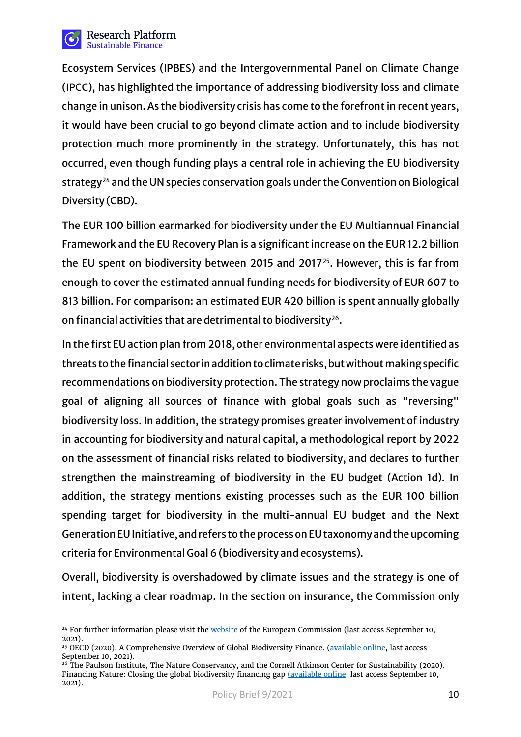

Ecosystem Services (IPBES) and the Intergovernmental Panel on Climate Change (IPCC), has highlighted the importance of addressing biodiversity loss and climate change in unison. As the biodiversity crisis has come to the forefront in recent years, it would have been crucial to go beyond climate action and to include biodiversity protection much more prominently in the strategy. Unfortunately, this has not occurred, even though funding plays a central role in achieving the EU biodiversity strategy<sup>[24](#page-9-0)</sup> and the UN species conservation goals under the Convention on Biological Diversity (CBD).

The EUR 100 billion earmarked for biodiversity under the EU Multiannual Financial Framework and the EU Recovery Plan is a significant increase on the EUR 12.2 billion the EU spent on biodiversity between 2015 and 2017<sup>25</sup>. However, this is far from enough to cover the estimated annual funding needs for biodiversity of EUR 607 to 813 billion. For comparison: an estimated EUR 420 billion is spent annually globally on financial activities that are detrimental to biodiversity<sup>26</sup>.

In the first EU action plan from 2018, other environmental aspects were identified as threats to the financial sector in addition to climate risks, but without making specific recommendations on biodiversity protection. The strategy now proclaims the vague goal of aligning all sources of finance with global goals such as "reversing" biodiversity loss. In addition, the strategy promises greater involvement of industry in accounting for biodiversity and natural capital, a methodological report by 2022 on the assessment of financial risks related to biodiversity, and declares to further strengthen the mainstreaming of biodiversity in the EU budget (Action 1d). In addition, the strategy mentions existing processes such as the EUR 100 billion spending target for biodiversity in the multi-annual EU budget and the Next Generation EU Initiative, and refers to the process on EU taxonomy and the upcoming criteria for Environmental Goal 6 (biodiversity and ecosystems).

Overall, biodiversity is overshadowed by climate issues and the strategy is one of intent, lacking a clear roadmap. In the section on insurance, the Commission only

<span id="page-9-0"></span> $\overline{a}$ <sup>24</sup> For further information please visit th[e website](https://ec.europa.eu/environment/strategy/biodiversity-strategy-2030_de) of the European Commission (last access September 10, 2021).

<span id="page-9-1"></span><sup>&</sup>lt;sup>25</sup> OECD (2020). A Comprehensive Overview of Global Biodiversity Finance. [\(available online,](https://www.google.com/url?sa=t&rct=j&q=&esrc=s&source=web&cd=&ved=2ahUKEwjkgOGX77rzAhXDGuwKHbCvBaMQFnoECAQQAQ&url=https%3A%2F%2Fwww.cbd.int%2Fdoc%2Fc%2Fdbcc%2Fa4bc%2F913fe42c87f6fea8a356ca49%2Fpost2020-ws-2020-03-other-01-en.pdf&usg=AOvVaw1HqYebAMd3-sIwmgJLK022) last access September 10, 2021).

<span id="page-9-2"></span><sup>&</sup>lt;sup>26</sup> The Paulson Institute, The Nature Conservancy, and the Cornell Atkinson Center for Sustainability (2020). Financing Nature: Closing the global biodiversity financing gap [\(available online,](https://www.paulsoninstitute.org/wp-content/uploads/2020/09/FINANCING-NATURE_Full-Report_Final-Version_091520.pdf) last access September 10, 2021).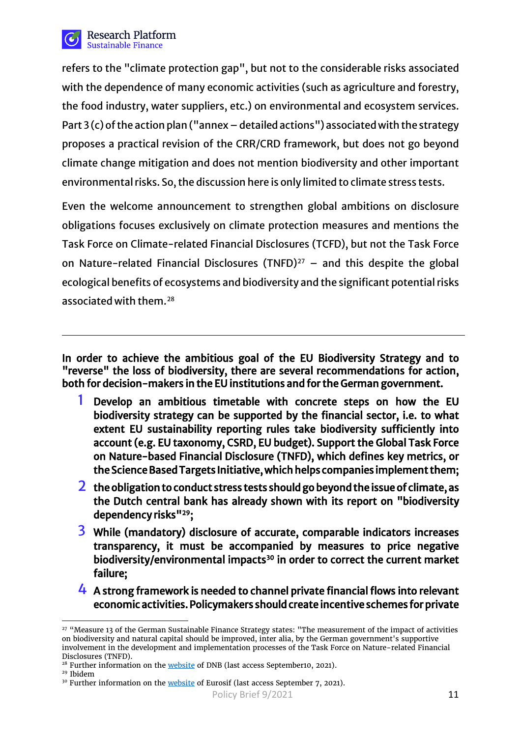

refers to the "climate protection gap", but not to the considerable risks associated with the dependence of many economic activities (such as agriculture and forestry, the food industry, water suppliers, etc.) on environmental and ecosystem services. Part 3 (c) of the action plan ("annex – detailed actions") associated with the strategy proposes a practical revision of the CRR/CRD framework, but does not go beyond climate change mitigation and does not mention biodiversity and other important environmental risks. So, the discussion here is only limited to climate stress tests.

Even the welcome announcement to strengthen global ambitions on disclosure obligations focuses exclusively on climate protection measures and mentions the Task Force on Climate-related Financial Disclosures (TCFD), but not the Task Force on Nature-related Financial Disclosures (TNFD) $^{27}$  $^{27}$  $^{27}$  – and this despite the global ecological benefits of ecosystems and biodiversity and the significant potential risks associated with them.[28](#page-10-1)

In order to achieve the ambitious goal of the EU Biodiversity Strategy and to "reverse" the loss of biodiversity, there are several recommendations for action, both for decision-makers in the EU institutions and for the German government.

- **1** Develop an ambitious timetable with concrete steps on how the EU biodiversity strategy can be supported by the financial sector, i.e. to what extent EU sustainability reporting rules take biodiversity sufficiently into account (e.g. EU taxonomy, CSRD, EU budget). Support the Global Task Force on Nature-based Financial Disclosure (TNFD), which defines key metrics, or the Science Based Targets Initiative, which helps companies implement them;
- **2** the obligation to conduct stress tests should go beyond the issue of climate, as the Dutch central bank has already shown with its report on "biodiversity dependency risks["29](#page-10-2);
- **3** While (mandatory) disclosure of accurate, comparable indicators increases transparency, it must be accompanied by measures to price negative biodiversity/environmental impacts<sup>30</sup> in order to correct the current market failure;
- **4** A strong framework is needed to channel private financial flows into relevant economic activities. Policymakers should create incentive schemes for private

<span id="page-10-0"></span> $\overline{a}$ <sup>27</sup> "Measure 13 of the German Sustainable Finance Strategy states: "The measurement of the impact of activities on biodiversity and natural capital should be improved, inter alia, by the German government's supportive involvement in the development and implementation processes of the Task Force on Nature-related Financial Disclosures (TNFD).<br><sup>28</sup> Further information on the <u>website</u> of DNB (last access September10, 2021).

<span id="page-10-3"></span><span id="page-10-2"></span><span id="page-10-1"></span>

<sup>&</sup>lt;sup>29</sup> Ibidem<br><sup>30</sup> Further information on th[e website](https://www.eurosif.org/letter-to-the-commission-on-the-new-eu-sustainable-finance-strategy/) of Eurosif (last access September 7, 2021).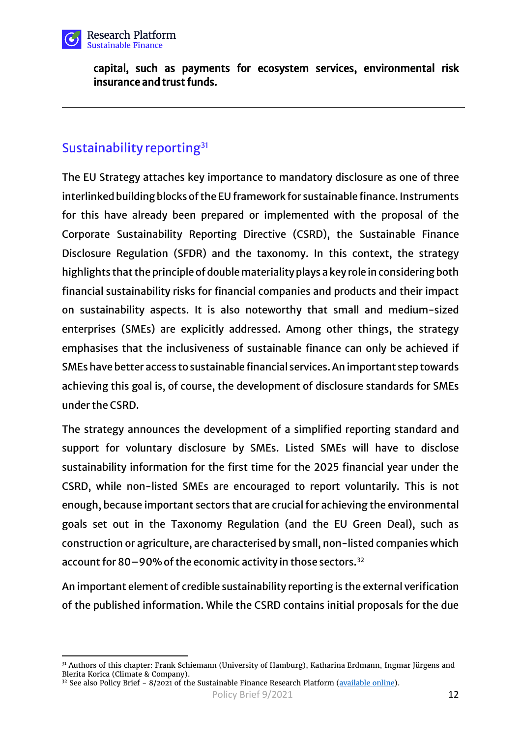

capital, such as payments for ecosystem services, environmental risk insurance and trust funds.

## Sustainability reporting<sup>[31](#page-11-0)</sup>

 $\overline{a}$ 

The EU Strategy attaches key importance to mandatory disclosure as one of three interlinked building blocks of the EU framework for sustainable finance. Instruments for this have already been prepared or implemented with the proposal of the Corporate Sustainability Reporting Directive (CSRD), the Sustainable Finance Disclosure Regulation (SFDR) and the taxonomy. In this context, the strategy highlights that the principle of double materiality plays a key role in considering both financial sustainability risks for financial companies and products and their impact on sustainability aspects. It is also noteworthy that small and medium-sized enterprises (SMEs) are explicitly addressed. Among other things, the strategy emphasises that the inclusiveness of sustainable finance can only be achieved if SMEs have better access to sustainable financial services. An important step towards achieving this goal is, of course, the development of disclosure standards for SMEs under the CSRD.

The strategy announces the development of a simplified reporting standard and support for voluntary disclosure by SMEs. Listed SMEs will have to disclose sustainability information for the first time for the 2025 financial year under the CSRD, while non-listed SMEs are encouraged to report voluntarily. This is not enough, because important sectors that are crucial for achieving the environmental goals set out in the Taxonomy Regulation (and the EU Green Deal), such as construction or agriculture, are characterised by small, non-listed companies which account for 80-90% of the economic activity in those sectors.<sup>[32](#page-11-1)</sup>

An important element of credible sustainability reporting is the external verification of the published information. While the CSRD contains initial proposals for the due

<span id="page-11-0"></span><sup>31</sup> Authors of this chapter: Frank Schiemann (University of Hamburg), Katharina Erdmann, Ingmar Jürgens and Blerita Korica (Climate & Company).

<span id="page-11-1"></span> $32$  See also Policy Brief - 8/2021 of the Sustainable Finance Research Platform [\(available online\)](https://wpsf.de/publikationen/pb-8-2021-why-it-would-be-important-to-expand-the-scope-of-the-corporate-sustainability-reporting-directive-and-make-it-work-for-smes/).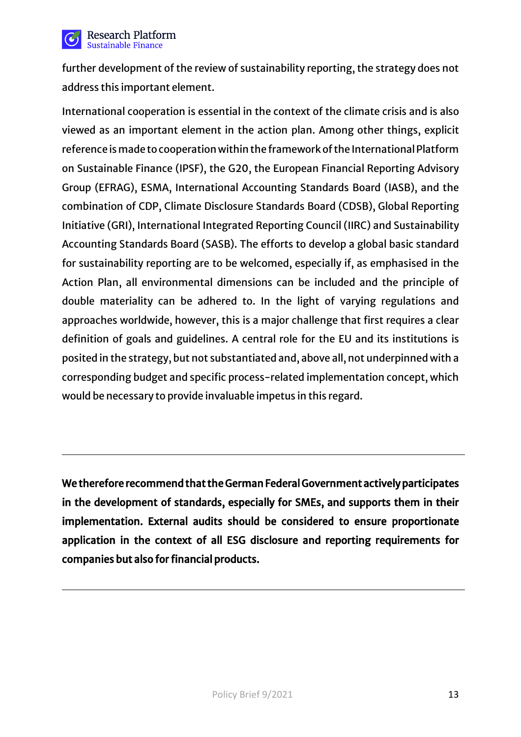

further development of the review of sustainability reporting, the strategy does not address this important element.

International cooperation is essential in the context of the climate crisis and is also viewed as an important element in the action plan. Among other things, explicit reference is made to cooperation within the framework of the International Platform on Sustainable Finance (IPSF), the G20, the European Financial Reporting Advisory Group (EFRAG), ESMA, International Accounting Standards Board (IASB), and the combination of CDP, Climate Disclosure Standards Board (CDSB), Global Reporting Initiative (GRI), International Integrated Reporting Council (IIRC) and Sustainability Accounting Standards Board (SASB). The efforts to develop a global basic standard for sustainability reporting are to be welcomed, especially if, as emphasised in the Action Plan, all environmental dimensions can be included and the principle of double materiality can be adhered to. In the light of varying regulations and approaches worldwide, however, this is a major challenge that first requires a clear definition of goals and guidelines. A central role for the EU and its institutions is posited in the strategy, but not substantiated and, above all, not underpinned with a corresponding budget and specific process-related implementation concept, which would be necessary to provide invaluable impetus in this regard.

We therefore recommend that the German Federal Government actively participates in the development of standards, especially for SMEs, and supports them in their implementation. External audits should be considered to ensure proportionate application in the context of all ESG disclosure and reporting requirements for companies but also for financial products.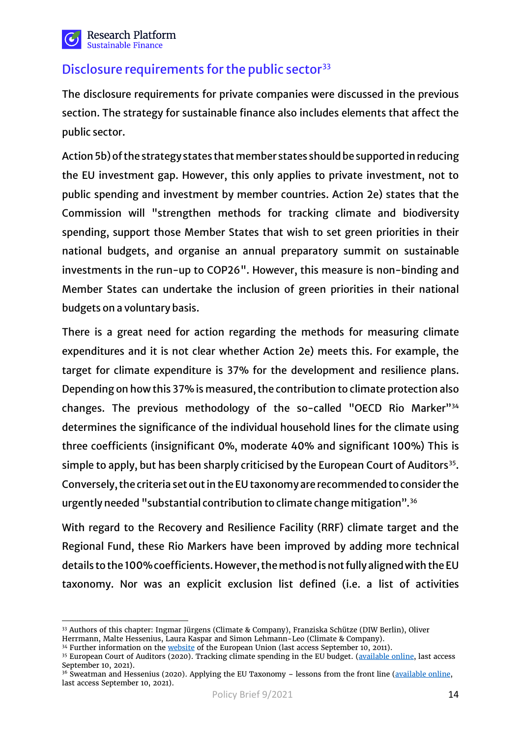

## Disclosure requirements for the public sector<sup>[33](#page-13-0)</sup>

The disclosure requirements for private companies were discussed in the previous section. The strategy for sustainable finance also includes elements that affect the public sector.

Action 5b) of the strategy states that member states should be supported in reducing the EU investment gap. However, this only applies to private investment, not to public spending and investment by member countries. Action 2e) states that the Commission will "strengthen methods for tracking climate and biodiversity spending, support those Member States that wish to set green priorities in their national budgets, and organise an annual preparatory summit on sustainable investments in the run-up to COP26". However, this measure is non-binding and Member States can undertake the inclusion of green priorities in their national budgets on a voluntary basis.

There is a great need for action regarding the methods for measuring climate expenditures and it is not clear whether Action 2e) meets this. For example, the target for climate expenditure is 37% for the development and resilience plans. Depending on how this 37% is measured, the contribution to climate protection also changes. The previous methodology of the so-called "OECD Rio Marker"[34](#page-13-1) determines the significance of the individual household lines for the climate using three coefficients (insignificant 0%, moderate 40% and significant 100%) This is simple to apply, but has been sharply criticised by the European Court of Auditors<sup>35</sup>. Conversely, the criteria set out in the EU taxonomy are recommended to consider the urgently needed "substantial contribution to climate change mitigation".[36](#page-13-3)

With regard to the Recovery and Resilience Facility (RRF) climate target and the Regional Fund, these Rio Markers have been improved by adding more technical details to the 100% coefficients. However, the method is not fully aligned with the EU taxonomy. Nor was an explicit exclusion list defined (i.e. a list of activities

<span id="page-13-0"></span> $\overline{a}$ <sup>33</sup> Authors of this chapter: Ingmar Jürgens (Climate & Company), Franziska Schütze (DIW Berlin), Oliver Herrmann, Malte Hessenius, Laura Kaspar and Simon Lehmann-Leo (Climate & Company).

<span id="page-13-1"></span><sup>&</sup>lt;sup>34</sup> Further information on the <u>website</u> of the European Union (last access September 10, 2011).<br><sup>35</sup> European Court of Auditors (2020). Tracking climate spending in the EU budget. [\(available online,](https://www.eca.europa.eu/en/Pages/DocItem.aspx?did=54194) last access

<span id="page-13-2"></span>September 10, 2021).

<span id="page-13-3"></span><sup>&</sup>lt;sup>36</sup> Sweatman and Hessenius (2020). Applying the EU Taxonomy – lessons from the front line [\(available online,](https://www.climatestrategy.com/en/informe_15.php) last access September 10, 2021).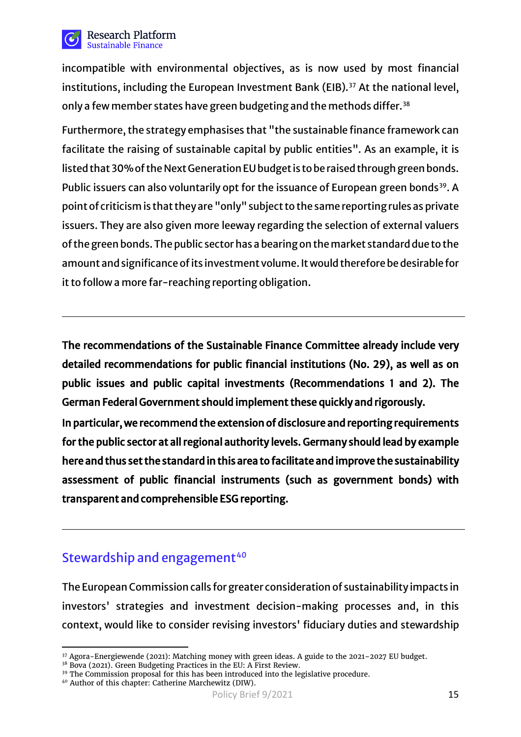

incompatible with environmental objectives, as is now used by most financial institutions, including the European Investment Bank (EIB).<sup>[37](#page-14-0)</sup> At the national level, only a few member states have green budgeting and the methods differ.<sup>[38](#page-14-1)</sup>

Furthermore, the strategy emphasises that "the sustainable finance framework can facilitate the raising of sustainable capital by public entities". As an example, it is listed that 30% of the Next Generation EU budget is to be raised through green bonds. Public issuers can also voluntarily opt for the issuance of European green bonds<sup>[39](#page-14-2)</sup>. A point of criticism is that they are "only" subject to the same reporting rules as private issuers. They are also given more leeway regarding the selection of external valuers of the green bonds. The public sector has a bearing on the market standard due to the amount and significance of its investment volume. It would therefore be desirable for it to follow a more far-reaching reporting obligation.

The recommendations of the Sustainable Finance Committee already include very detailed recommendations for public financial institutions (No. 29), as well as on public issues and public capital investments (Recommendations 1 and 2). The German Federal Government should implement these quickly and rigorously.

In particular, we recommend the extension of disclosure and reporting requirements for the public sector at all regional authority levels. Germany should lead by example here and thus set the standard in this area to facilitate and improve the sustainability assessment of public financial instruments (such as government bonds) with transparent and comprehensible ESG reporting.

## Stewardship and engagement<sup>[40](#page-14-3)</sup>

The European Commission calls for greater consideration of sustainability impacts in investors' strategies and investment decision-making processes and, in this context, would like to consider revising investors' fiduciary duties and stewardship

 $\overline{a}$ <sup>37</sup> Agora-Energiewende (2021): Matching money with green ideas. A guide to the 2021–2027 EU budget.

<span id="page-14-1"></span><span id="page-14-0"></span><sup>&</sup>lt;sup>38</sup> Bova (2021). Green Budgeting Practices in the EU: A First Review.

<span id="page-14-2"></span><sup>&</sup>lt;sup>39</sup> The Commission proposal for this has been introduced into the legislative procedure.

<span id="page-14-3"></span><sup>40</sup> Author of this chapter: Catherine Marchewitz (DIW).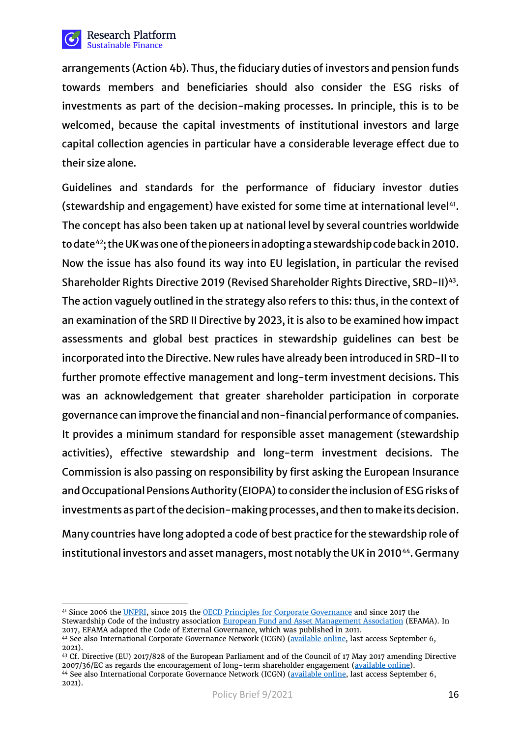

arrangements (Action 4b). Thus, the fiduciary duties of investors and pension funds towards members and beneficiaries should also consider the ESG risks of investments as part of the decision-making processes. In principle, this is to be welcomed, because the capital investments of institutional investors and large capital collection agencies in particular have a considerable leverage effect due to their size alone.

Guidelines and standards for the performance of fiduciary investor duties (stewardship and engagement) have existed for some time at international level<sup>41</sup>. The concept has also been taken up at national level by several countries worldwide to date<sup>42</sup>; the UK was one of the pioneers in adopting a stewardship code back in 2010. Now the issue has also found its way into EU legislation, in particular the revised Shareholder Rights Directive 2019 (Revised Shareholder Rights Directive, SRD-II)<sup>43</sup>. The action vaguely outlined in the strategy also refers to this: thus, in the context of an examination of the SRD II Directive by 2023, it is also to be examined how impact assessments and global best practices in stewardship guidelines can best be incorporated into the Directive. New rules have already been introduced in SRD-II to further promote effective management and long-term investment decisions. This was an acknowledgement that greater shareholder participation in corporate governance can improve the financial and non-financial performance of companies. It provides a minimum standard for responsible asset management (stewardship activities), effective stewardship and long-term investment decisions. The Commission is also passing on responsibility by first asking the European Insurance and Occupational Pensions Authority (EIOPA) to consider the inclusion of ESG risks of investments as part of the decision-making processes, and then to make its decision.

Many countries have long adopted a code of best practice for the stewardship role of institutional investors and asset managers, most notably the UK in 2010<sup>44</sup>. Germany

<span id="page-15-0"></span> $\overline{a}$ <sup>41</sup> Since 2006 the <u>UNPRI</u>, since 2015 the <u>OECD Principles for Corporate Governance</u> and since 2017 the Stewardship Code of the industry associatio[n European Fund and Asset Management Association](https://www.efama.org/newsroom/news/efama-stewardship-code-principles-asset-managers-monitoring-voting-engagement) (EFAMA). In 2017, EFAMA adapted the Code of External Governance, which was published in 2011.

<span id="page-15-1"></span><sup>42</sup> See also International Corporate Governance Network (ICGN) [\(available online,](https://www.icgn.org/policy/global-stewardship-codes-network) last access September 6, 2021).

<span id="page-15-3"></span><span id="page-15-2"></span><sup>43</sup> Cf. Directive (EU) 2017/828 of the European Parliament and of the Council of 17 May 2017 amending Directive 2007/36/EC as regards the encouragement of long-term shareholder engagement [\(available online\)](https://eur-lex.europa.eu/legal-content/EN/TXT/?uri=CELEX%3A32017L0828). 44 See also International Corporate Governance Network (ICGN) [\(available online,](https://www.icgn.org/policy/global-stewardship-codes-network) last access September 6, 2021).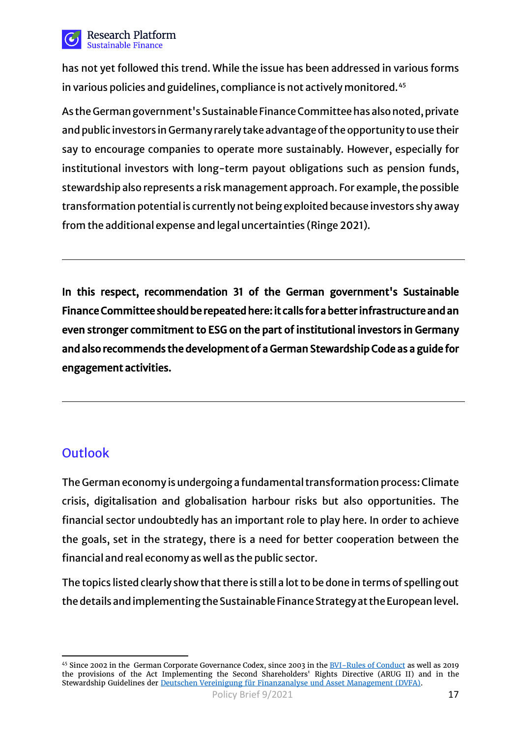

has not yet followed this trend. While the issue has been addressed in various forms in various policies and guidelines, compliance is not actively monitored.<sup>[45](#page-16-0)</sup>

As the German government's Sustainable Finance Committeehas also noted, private and public investors in Germany rarely take advantage of the opportunity to use their say to encourage companies to operate more sustainably. However, especially for institutional investors with long-term payout obligations such as pension funds, stewardship also represents a risk management approach. For example, the possible transformation potential is currently not being exploited because investors shy away from the additional expense and legal uncertainties (Ringe 2021).

In this respect, recommendation 31 of the German government's Sustainable Finance Committee should be repeated here: it calls for a better infrastructure and an even stronger commitment to ESG on the part of institutional investors in Germany and also recommends the development of a German Stewardship Code as a guide for engagement activities.

# **Outlook**

The German economy is undergoing a fundamental transformation process: Climate crisis, digitalisation and globalisation harbour risks but also opportunities. The financial sector undoubtedly has an important role to play here. In order to achieve the goals, set in the strategy, there is a need for better cooperation between the financial and real economy as well as the public sector.

The topics listed clearly show that there is still a lot to be done in terms of spelling out the details and implementing the Sustainable Finance Strategy at the European level.

<span id="page-16-0"></span> $\overline{a}$ 45 Since 2002 in the [German Corporate Governance Codex,](https://www.dcgk.de/de/kodex/archiv.html) since 2003 in the **BVI-Rules of Conduct** as well as 2019 the provisions of the Act Implementing the Second Shareholders' Rights Directive (ARUG II) and in the Stewardship Guidelines der [Deutschen Vereinigung für Finanzanalyse und Asset Management \(DVFA\).](https://www.dvfa.de/der-berufsverband/kommissionen/governance-stewardship.html)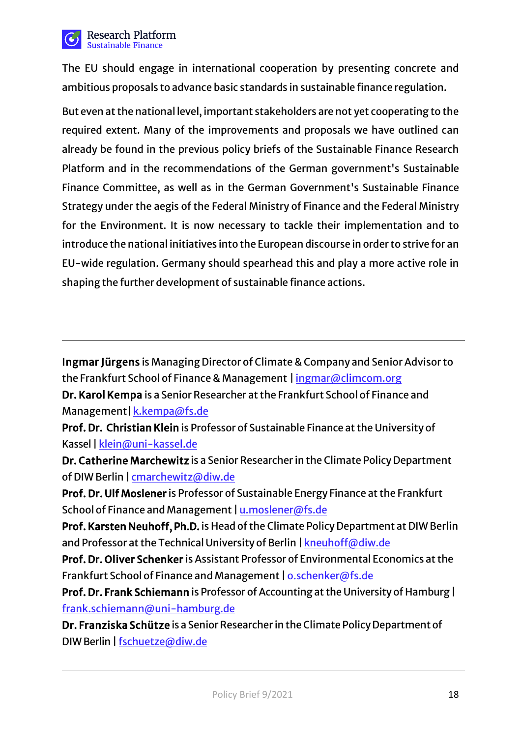

The EU should engage in international cooperation by presenting concrete and ambitious proposals to advance basic standards in sustainable finance regulation.

But even at the national level, important stakeholders are not yet cooperating to the required extent. Many of the improvements and proposals we have outlined can already be found in the previous policy briefs of the Sustainable Finance Research Platform and in the recommendations of the German government's Sustainable Finance Committee, as well as in the German Government's Sustainable Finance Strategy under the aegis of the Federal Ministry of Finance and the Federal Ministry for the Environment. It is now necessary to tackle their implementation and to introduce the national initiatives into the European discourse in order to strive for an EU-wide regulation. Germany should spearhead this and play a more active role in shaping the further development of sustainable finance actions.

Ingmar Jürgens is Managing Director of Climate & Company and Senior Advisor to the Frankfurt School of Finance & Management [| ingmar@climcom.org](mailto:Ingmar@climcom.org)

Dr. Karol Kempa is a Senior Researcher at the Frankfurt School of Finance and Management| [k.kempa@fs.de](mailto:%20k.kempa@fs.de)

Prof. Dr. Christian Klein is Professor of Sustainable Finance at the University of Kassel | [klein@uni-kassel.de](mailto:klein@uni-kassel.de)

Dr. Catherine Marchewitz is a Senior Researcher in the Climate Policy Department of DIW Berlin | [cmarchewitz@diw.de](mailto:cmarchewitz@diw.de)

Prof. Dr. Ulf Moslener is Professor of Sustainable Energy Finance at the Frankfurt School of Finance and Management | <u>[u.moslener@fs.de](mailto:%20k.kempa@fs.de)</u>

Prof. Karsten Neuhoff, Ph.D. is Head of the Climate Policy Department at DIW Berlin and Professor at the Technical University of Berlin | kneu[hoff@diw.de](mailto:%20kneuhoff@diw.de)

Prof. Dr. Oliver Schenker is Assistant Professor of Environmental Economics at the Frankfurt School of Finance and Management | [o.schenker@fs.de](mailto:%20o.schenker@fs.de)

Prof. Dr. Frank Schiemann is Professor of Accounting at the University of Hamburg | [frank.schiemann@uni-hamburg.de](mailto:frank.schiemann@uni-hamburg.de)

Dr. Franziska Schütze is a Senior Researcher in the Climate Policy Department of DIWBerlin | [fschuetze@diw](mailto:%20fschuetze@diw.de).de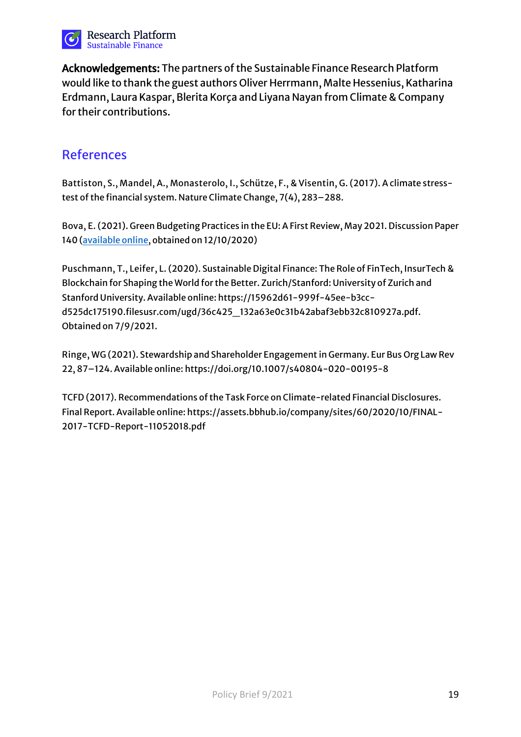

Acknowledgements: The partners of the Sustainable Finance Research Platform would like to thank the guest authors Oliver Herrmann, Malte Hessenius, Katharina Erdmann, Laura Kaspar, Blerita Korça and Liyana Nayan from Climate & Company for their contributions.

## References

**Battiston, S., Mandel, A., Monasterolo, I., Schütze, F., & Visentin, G. (2017)**. A climate stresstest of the financial system. Nature Climate Change, 7(4), 283–288.

**Bova, E. (2021)**. Green Budgeting Practices in the EU: A First Review, May 2021. Discussion Paper 140 [\(available online,](https://ec.europa.eu/info/publications/green-budgeting-practices-eu-first-review_en) obtained on 12/10/2020)

**Puschmann, T., Leifer, L. (2020)**. Sustainable Digital Finance: The Role of FinTech, InsurTech & Blockchain for Shaping the World for the Better. Zurich/Stanford: University of Zurich and Stanford University. Available online: https://15962d61-999f-45ee-b3ccd525dc175190.filesusr.com/ugd/36c425\_132a63e0c31b42abaf3ebb32c810927a.pdf. Obtained on 7/9/2021.

**Ringe, WG (2021)**. Stewardship and Shareholder Engagement in Germany. Eur Bus Org Law Rev 22, 87–124. Available online: https://doi.org/10.1007/s40804-020-00195-8

**TCFD (2017).** Recommendations of the Task Force on Climate-related Financial Disclosures. Final Report. Available online: https://assets.bbhub.io/company/sites/60/2020/10/FINAL-2017-TCFD-Report-11052018.pdf